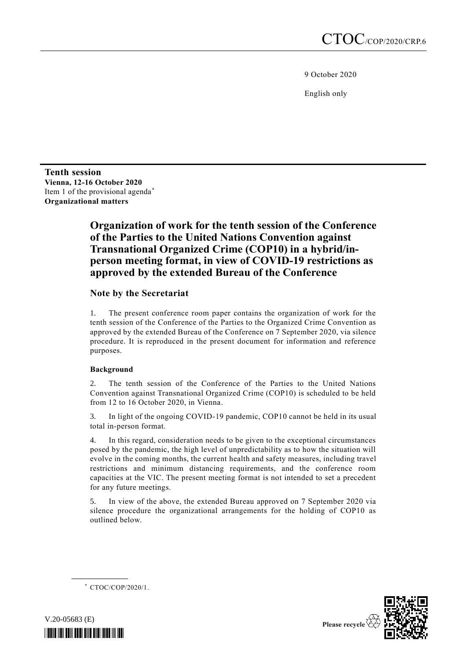9 October 2020

English only

**Tenth session Vienna, 12-16 October 2020** Item 1 of the provisional agenda\* **Organizational matters**

# **Organization of work for the tenth session of the Conference of the Parties to the United Nations Convention against Transnational Organized Crime (COP10) in a hybrid/inperson meeting format, in view of COVID-19 restrictions as approved by the extended Bureau of the Conference**

## **Note by the Secretariat**

1. The present conference room paper contains the organization of work for the tenth session of the Conference of the Parties to the Organized Crime Convention as approved by the extended Bureau of the Conference on 7 September 2020, via silence procedure. It is reproduced in the present document for information and reference purposes.

#### **Background**

2. The tenth session of the Conference of the Parties to the United Nations Convention against Transnational Organized Crime (COP10) is scheduled to be held from 12 to 16 October 2020, in Vienna.

3. In light of the ongoing COVID-19 pandemic, COP10 cannot be held in its usual total in-person format.

4. In this regard, consideration needs to be given to the exceptional circumstances posed by the pandemic, the high level of unpredictability as to how the situation will evolve in the coming months, the current health and safety measures, including travel restrictions and minimum distancing requirements, and the conference room capacities at the VIC. The present meeting format is not intended to set a precedent for any future meetings.

5. In view of the above, the extended Bureau approved on 7 September 2020 via silence procedure the organizational arrangements for the holding of COP10 as outlined below.

\* CTOC/COP/2020/1.

**\_\_\_\_\_\_\_\_\_\_\_\_\_\_\_\_\_\_**



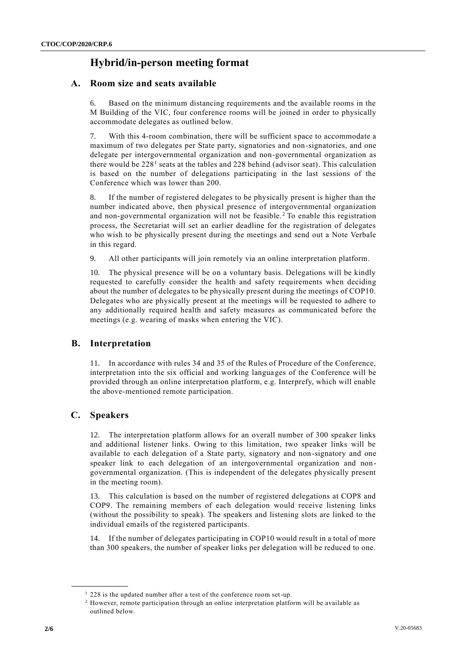# **Hybrid/in-person meeting format**

## **A. Room size and seats available**

6. Based on the minimum distancing requirements and the available rooms in the M Building of the VIC, four conference rooms will be joined in order to physically accommodate delegates as outlined below.

7. With this 4-room combination, there will be sufficient space to accommodate a maximum of two delegates per State party, signatories and non-signatories, and one delegate per intergovernmental organization and non-governmental organization as there would be  $228<sup>1</sup>$  seats at the tables and  $228$  behind (advisor seat). This calculation is based on the number of delegations participating in the last sessions of the Conference which was lower than 200.

8. If the number of registered delegates to be physically present is higher than the number indicated above, then physical presence of intergovernmental organization and non-governmental organization will not be feasible.<sup>2</sup> To enable this registration process, the Secretariat will set an earlier deadline for the registration of delegates who wish to be physically present during the meetings and send out a Note Verbale in this regard.

9. All other participants will join remotely via an online interpretation platform.

10. The physical presence will be on a voluntary basis. Delegations will be kindly requested to carefully consider the health and safety requirements when deciding about the number of delegates to be physically present during the meetings of COP10. Delegates who are physically present at the meetings will be requested to adhere to any additionally required health and safety measures as communicated before the meetings (e.g. wearing of masks when entering the VIC).

# **B. Interpretation**

11. In accordance with rules 34 and 35 of the Rules of Procedure of the Conference, interpretation into the six official and working languages of the Conference will be provided through an online interpretation platform, e.g. Interprefy, which will enable the above-mentioned remote participation.

# **C. Speakers**

**\_\_\_\_\_\_\_\_\_\_\_\_\_\_\_\_\_\_**

12. The interpretation platform allows for an overall number of 300 speaker links and additional listener links. Owing to this limitation, two speaker links will be available to each delegation of a State party, signatory and non-signatory and one speaker link to each delegation of an intergovernmental organization and nongovernmental organization. (This is independent of the delegates physically present in the meeting room).

13. This calculation is based on the number of registered delegations at COP8 and COP9. The remaining members of each delegation would receive listening links (without the possibility to speak). The speakers and listening slots are linked to the individual emails of the registered participants.

14. If the number of delegates participating in COP10 would result in a total of more than 300 speakers, the number of speaker links per delegation will be reduced to one.

<sup>&</sup>lt;sup>1</sup> 228 is the updated number after a test of the conference room set-up.

<sup>2</sup> However, remote participation through an online interpretation platform will be available as outlined below.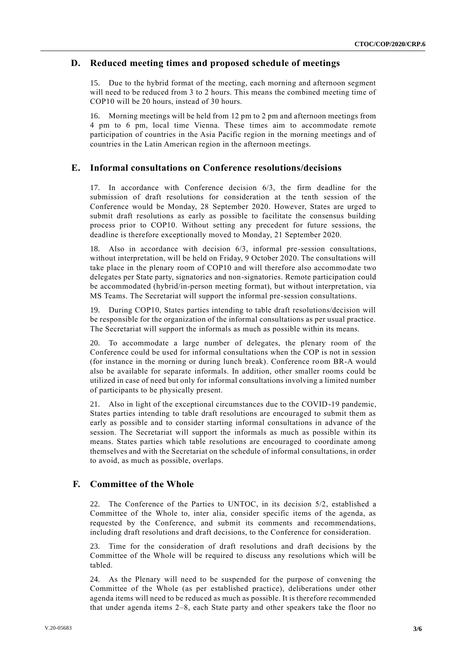#### **D. Reduced meeting times and proposed schedule of meetings**

15. Due to the hybrid format of the meeting, each morning and afternoon segment will need to be reduced from 3 to 2 hours. This means the combined meeting time of COP10 will be 20 hours, instead of 30 hours.

16. Morning meetings will be held from 12 pm to 2 pm and afternoon meetings from 4 pm to 6 pm, local time Vienna. These times aim to accommodate remote participation of countries in the Asia Pacific region in the morning meetings and of countries in the Latin American region in the afternoon meetings.

## **E. Informal consultations on Conference resolutions/decisions**

17. In accordance with Conference decision 6/3, the firm deadline for the submission of draft resolutions for consideration at the tenth session of the Conference would be Monday, 28 September 2020. However, States are urged to submit draft resolutions as early as possible to facilitate the consensus building process prior to COP10. Without setting any precedent for future sessions, the deadline is therefore exceptionally moved to Monday, 21 September 2020.

18. Also in accordance with decision 6/3, informal pre-session consultations, without interpretation, will be held on Friday, 9 October 2020. The consultations will take place in the plenary room of COP10 and will therefore also accommo date two delegates per State party, signatories and non-signatories. Remote participation could be accommodated (hybrid/in-person meeting format), but without interpretation, via MS Teams. The Secretariat will support the informal pre-session consultations.

19. During COP10, States parties intending to table draft resolutions/decision will be responsible for the organization of the informal consultations as per usual practice. The Secretariat will support the informals as much as possible within its means.

20. To accommodate a large number of delegates, the plenary room of the Conference could be used for informal consultations when the COP is not in session (for instance in the morning or during lunch break). Conference room BR-A would also be available for separate informals. In addition, other smaller rooms could be utilized in case of need but only for informal consultations involving a limited number of participants to be physically present.

21. Also in light of the exceptional circumstances due to the COVID-19 pandemic, States parties intending to table draft resolutions are encouraged to submit them as early as possible and to consider starting informal consultations in advance of the session. The Secretariat will support the informals as much as possible within its means. States parties which table resolutions are encouraged to coordinate among themselves and with the Secretariat on the schedule of informal consultations, in order to avoid, as much as possible, overlaps.

# **F. Committee of the Whole**

22. The Conference of the Parties to UNTOC, in its decision 5/2, established a Committee of the Whole to, inter alia, consider specific items of the agenda, as requested by the Conference, and submit its comments and recommendations, including draft resolutions and draft decisions, to the Conference for consideration.

23. Time for the consideration of draft resolutions and draft decisions by the Committee of the Whole will be required to discuss any resolutions which will be tabled.

24. As the Plenary will need to be suspended for the purpose of convening the Committee of the Whole (as per established practice), deliberations under other agenda items will need to be reduced as much as possible. It is therefore recommended that under agenda items 2–8, each State party and other speakers take the floor no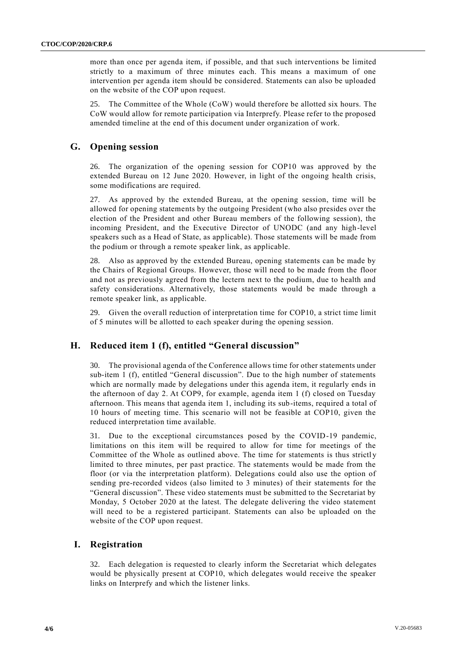more than once per agenda item, if possible, and that such interventions be limited strictly to a maximum of three minutes each. This means a maximum of one intervention per agenda item should be considered. Statements can also be uploaded on the website of the COP upon request.

25. The Committee of the Whole (CoW) would therefore be allotted six hours. The CoW would allow for remote participation via Interprefy. Please refer to the proposed amended timeline at the end of this document under organization of work.

## **G. Opening session**

26. The organization of the opening session for COP10 was approved by the extended Bureau on 12 June 2020. However, in light of the ongoing health crisis, some modifications are required.

27. As approved by the extended Bureau, at the opening session, time will be allowed for opening statements by the outgoing President (who also presides over the election of the President and other Bureau members of the following session), the incoming President, and the Executive Director of UNODC (and any high-level speakers such as a Head of State, as applicable). Those statements will be made from the podium or through a remote speaker link, as applicable.

28. Also as approved by the extended Bureau, opening statements can be made by the Chairs of Regional Groups. However, those will need to be made from the floor and not as previously agreed from the lectern next to the podium, due to health and safety considerations. Alternatively, those statements would be made through a remote speaker link, as applicable.

29. Given the overall reduction of interpretation time for COP10, a strict time limit of 5 minutes will be allotted to each speaker during the opening session.

# **H. Reduced item 1 (f), entitled "General discussion"**

30. The provisional agenda of the Conference allows time for other statements under sub-item 1 (f), entitled "General discussion". Due to the high number of statements which are normally made by delegations under this agenda item, it regularly ends in the afternoon of day 2. At COP9, for example, agenda item 1 (f) closed on Tuesday afternoon. This means that agenda item 1, including its sub-items, required a total of 10 hours of meeting time. This scenario will not be feasible at COP10, given the reduced interpretation time available.

31. Due to the exceptional circumstances posed by the COVID-19 pandemic, limitations on this item will be required to allow for time for meetings of the Committee of the Whole as outlined above. The time for statements is thus strictl y limited to three minutes, per past practice. The statements would be made from the floor (or via the interpretation platform). Delegations could also use the option of sending pre-recorded videos (also limited to 3 minutes) of their statements for the "General discussion". These video statements must be submitted to the Secretariat by Monday, 5 October 2020 at the latest. The delegate delivering the video statement will need to be a registered participant. Statements can also be uploaded on the website of the COP upon request.

#### **I. Registration**

32. Each delegation is requested to clearly inform the Secretariat which delegates would be physically present at COP10, which delegates would receive the speaker links on Interprefy and which the listener links.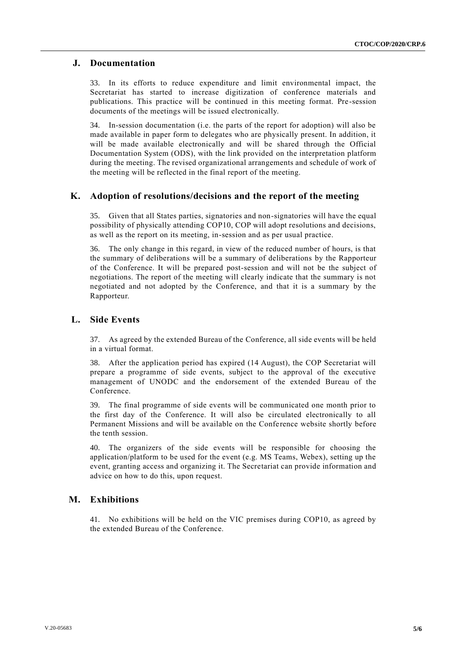#### **J. Documentation**

33. In its efforts to reduce expenditure and limit environmental impact, the Secretariat has started to increase digitization of conference materials and publications. This practice will be continued in this meeting format. Pre -session documents of the meetings will be issued electronically.

34. In-session documentation (i.e. the parts of the report for adoption) will also be made available in paper form to delegates who are physically present. In addition, it will be made available electronically and will be shared through the Official Documentation System (ODS), with the link provided on the interpretation platform during the meeting. The revised organizational arrangements and schedule of work of the meeting will be reflected in the final report of the meeting.

#### **K. Adoption of resolutions/decisions and the report of the meeting**

35. Given that all States parties, signatories and non-signatories will have the equal possibility of physically attending COP10, COP will adopt resolutions and decisions, as well as the report on its meeting, in-session and as per usual practice.

36. The only change in this regard, in view of the reduced number of hours, is that the summary of deliberations will be a summary of deliberations by the Rapporteur of the Conference. It will be prepared post-session and will not be the subject of negotiations. The report of the meeting will clearly indicate that the summary is not negotiated and not adopted by the Conference, and that it is a summary by the Rapporteur.

#### **L. Side Events**

37. As agreed by the extended Bureau of the Conference, all side events will be held in a virtual format.

38. After the application period has expired (14 August), the COP Secretariat will prepare a programme of side events, subject to the approval of the executive management of UNODC and the endorsement of the extended Bureau of the Conference.

39. The final programme of side events will be communicated one month prior to the first day of the Conference. It will also be circulated electronically to all Permanent Missions and will be available on the Conference website shortly before the tenth session.

40. The organizers of the side events will be responsible for choosing the application/platform to be used for the event (e.g. MS Teams, Webex), setting up the event, granting access and organizing it. The Secretariat can provide information and advice on how to do this, upon request.

#### **M. Exhibitions**

41. No exhibitions will be held on the VIC premises during COP10, as agreed by the extended Bureau of the Conference.